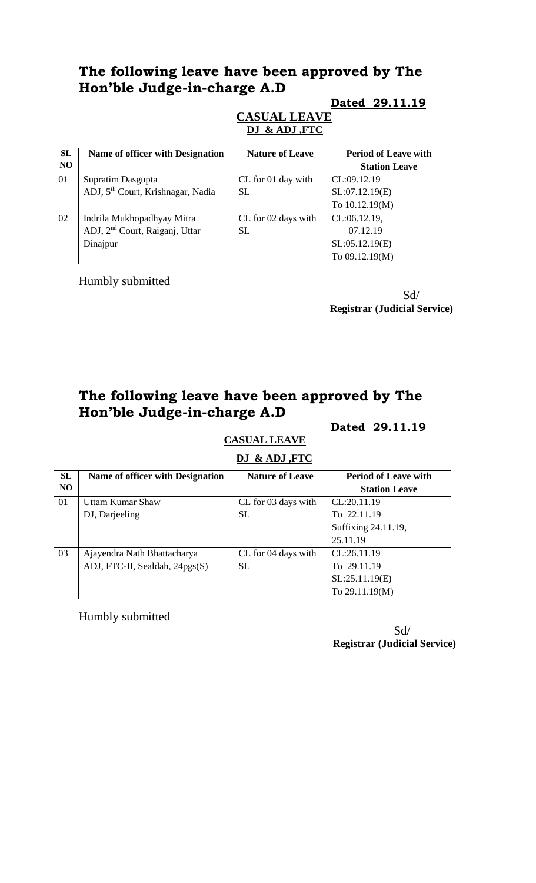#### **Dated 29.11.19**

#### **CASUAL LEAVE DJ & ADJ ,FTC**

| SL             | Name of officer with Designation              | <b>Nature of Leave</b> | <b>Period of Leave with</b> |
|----------------|-----------------------------------------------|------------------------|-----------------------------|
| N <sub>O</sub> |                                               |                        | <b>Station Leave</b>        |
| 01             | Supratim Dasgupta                             | CL for 01 day with     | CL:09.12.19                 |
|                | ADJ, 5 <sup>th</sup> Court, Krishnagar, Nadia | SL.                    | SL:07.12.19(E)              |
|                |                                               |                        | To 10.12.19(M)              |
| 02             | Indrila Mukhopadhyay Mitra                    | CL for 02 days with    | CL:06.12.19,                |
|                | ADJ, 2 <sup>nd</sup> Court, Raiganj, Uttar    | SL                     | 07.12.19                    |
|                | Dinajpur                                      |                        | SL:05.12.19(E)              |
|                |                                               |                        | To 09.12.19(M)              |

Humbly submitted

 Sd/ **Registrar (Judicial Service)**

# **The following leave have been approved by The Hon'ble Judge-in-charge A.D**

#### **Dated 29.11.19**

# **CASUAL LEAVE**

|  | DJ & ADJ, FTC |  |
|--|---------------|--|
|  |               |  |

| SL             | Name of officer with Designation | <b>Nature of Leave</b> | <b>Period of Leave with</b> |
|----------------|----------------------------------|------------------------|-----------------------------|
| N <sub>O</sub> |                                  |                        | <b>Station Leave</b>        |
| 01             | Uttam Kumar Shaw                 | CL for 03 days with    | CL:20.11.19                 |
|                | DJ, Darjeeling                   | <b>SL</b>              | To 22.11.19                 |
|                |                                  |                        | Suffixing 24.11.19,         |
|                |                                  |                        | 25.11.19                    |
| 03             | Ajayendra Nath Bhattacharya      | CL for 04 days with    | CL:26.11.19                 |
|                | ADJ, FTC-II, Sealdah, 24pgs(S)   | <b>SL</b>              | To 29.11.19                 |
|                |                                  |                        | SL:25.11.19(E)              |
|                |                                  |                        | To 29.11.19(M)              |

Humbly submitted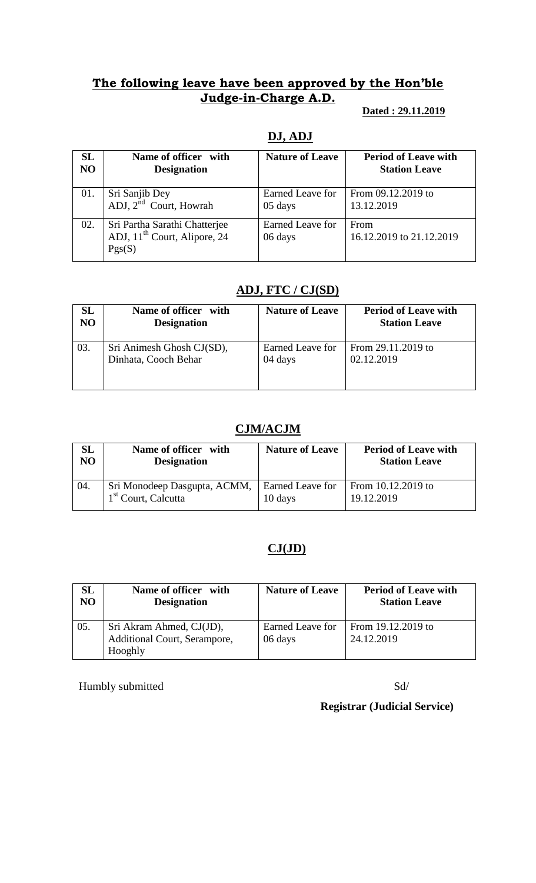### **Dated : 29.11.2019**

## **DJ, ADJ**

| <b>SL</b>      | Name of officer with                                                                | <b>Nature of Leave</b>      | <b>Period of Leave with</b>      |
|----------------|-------------------------------------------------------------------------------------|-----------------------------|----------------------------------|
| N <sub>O</sub> | <b>Designation</b>                                                                  |                             | <b>Station Leave</b>             |
| 01.            | Sri Sanjib Dey                                                                      | Earned Leave for            | From 09.12.2019 to               |
|                | ADJ, 2 <sup>nd</sup> Court, Howrah                                                  | 05 days                     | 13.12.2019                       |
| 02.            | Sri Partha Sarathi Chatterjee<br>ADJ, 11 <sup>th</sup> Court, Alipore, 24<br>Pgs(S) | Earned Leave for<br>06 days | From<br>16.12.2019 to 21.12.2019 |

# **ADJ, FTC / CJ(SD)**

| $\mathbf{SL}$  | Name of officer with      | <b>Nature of Leave</b> | <b>Period of Leave with</b> |
|----------------|---------------------------|------------------------|-----------------------------|
| N <sub>O</sub> | <b>Designation</b>        |                        | <b>Station Leave</b>        |
| 03.            | Sri Animesh Ghosh CJ(SD), | Earned Leave for       | From 29.11.2019 to          |
|                | Dinhata, Cooch Behar      | 04 days                | 02.12.2019                  |

## **CJM/ACJM**

| SL             | Name of officer with            | <b>Nature of Leave</b> | <b>Period of Leave with</b> |
|----------------|---------------------------------|------------------------|-----------------------------|
| N <sub>O</sub> | <b>Designation</b>              |                        | <b>Station Leave</b>        |
| 04.            | Sri Monodeep Dasgupta, ACMM,    | Earned Leave for       | From $10.12.2019$ to        |
|                | 1 <sup>st</sup> Court, Calcutta | 10 days                | 19.12.2019                  |

# **CJ(JD)**

| <b>SL</b>      | Name of officer with         | <b>Nature of Leave</b> | <b>Period of Leave with</b> |
|----------------|------------------------------|------------------------|-----------------------------|
| N <sub>O</sub> | <b>Designation</b>           |                        | <b>Station Leave</b>        |
| 05.            | Sri Akram Ahmed, CJ(JD),     | Earned Leave for       | From 19.12.2019 to          |
|                | Additional Court, Serampore, | 06 days                | 24.12.2019                  |
|                | Hooghly                      |                        |                             |

Humbly submitted Sd/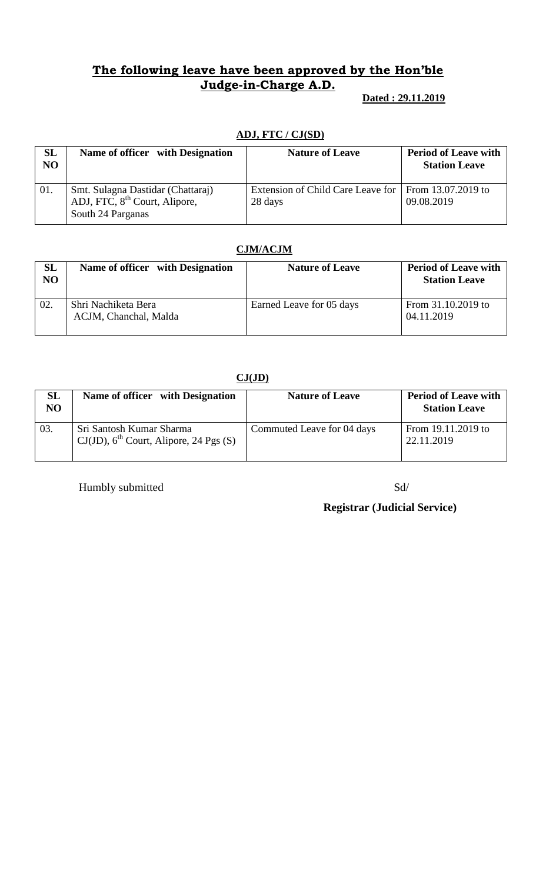**Dated : 29.11.2019**

### **ADJ, FTC / CJ(SD)**

| <b>SL</b><br>N <sub>O</sub> | Name of officer with Designation                                                                    | <b>Nature of Leave</b>                       | <b>Period of Leave with</b><br><b>Station Leave</b> |
|-----------------------------|-----------------------------------------------------------------------------------------------------|----------------------------------------------|-----------------------------------------------------|
| 01.                         | Smt. Sulagna Dastidar (Chattaraj)<br>ADJ, FTC, 8 <sup>th</sup> Court, Alipore,<br>South 24 Parganas | Extension of Child Care Leave for<br>28 days | From 13.07.2019 to<br>09.08.2019                    |

### **CJM/ACJM**

| SL<br>N <sub>O</sub> | Name of officer with Designation             | <b>Nature of Leave</b>   | <b>Period of Leave with</b><br><b>Station Leave</b> |
|----------------------|----------------------------------------------|--------------------------|-----------------------------------------------------|
| 02.                  | Shri Nachiketa Bera<br>ACJM, Chanchal, Malda | Earned Leave for 05 days | From 31.10.2019 to<br>04.11.2019                    |

#### **CJ(JD)**

| <b>SL</b><br>N <sub>O</sub> | Name of officer with Designation                                                  | <b>Nature of Leave</b>     | <b>Period of Leave with</b><br><b>Station Leave</b> |
|-----------------------------|-----------------------------------------------------------------------------------|----------------------------|-----------------------------------------------------|
| 03.                         | Sri Santosh Kumar Sharma<br>$CJ(JD)$ , 6 <sup>th</sup> Court, Alipore, 24 Pgs (S) | Commuted Leave for 04 days | From 19.11.2019 to<br>22.11.2019                    |

Humbly submitted Sd/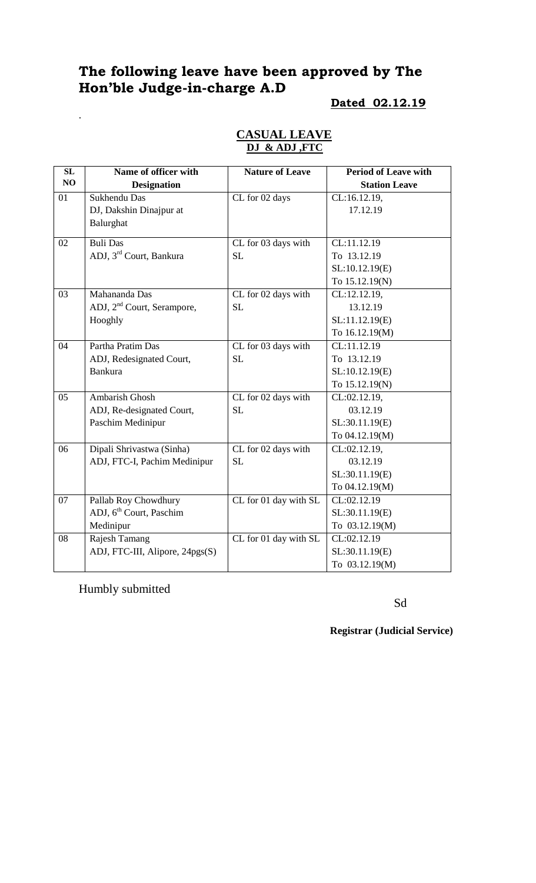#### **Dated 02.12.19**

|  | <b>CASUAL LEAVE</b> |
|--|---------------------|
|  | DJ & ADJ FTC        |

| SL | Name of officer with                   | <b>Nature of Leave</b> | <b>Period of Leave with</b> |
|----|----------------------------------------|------------------------|-----------------------------|
| NO | <b>Designation</b>                     |                        | <b>Station Leave</b>        |
| 01 | Sukhendu Das                           | CL for 02 days         | CL:16.12.19,                |
|    | DJ, Dakshin Dinajpur at                |                        | 17.12.19                    |
|    | Balurghat                              |                        |                             |
| 02 | <b>Buli Das</b>                        | CL for 03 days with    | CL:11.12.19                 |
|    | ADJ, 3 <sup>rd</sup> Court, Bankura    | <b>SL</b>              | To 13.12.19                 |
|    |                                        |                        | SL:10.12.19(E)              |
|    |                                        |                        | To 15.12.19(N)              |
| 03 | Mahananda Das                          | CL for 02 days with    | CL:12.12.19,                |
|    | ADJ, 2 <sup>nd</sup> Court, Serampore, | SL                     | 13.12.19                    |
|    | Hooghly                                |                        | SL:11.12.19(E)              |
|    |                                        |                        | To 16.12.19(M)              |
| 04 | Partha Pratim Das                      | CL for 03 days with    | CL:11.12.19                 |
|    | ADJ, Redesignated Court,               | SL                     | To 13.12.19                 |
|    | <b>Bankura</b>                         |                        | SL:10.12.19(E)              |
|    |                                        |                        | To 15.12.19(N)              |
| 05 | Ambarish Ghosh                         | CL for 02 days with    | CL:02.12.19,                |
|    | ADJ, Re-designated Court,              | SL                     | 03.12.19                    |
|    | Paschim Medinipur                      |                        | SL:30.11.19(E)              |
|    |                                        |                        | To 04.12.19(M)              |
| 06 | Dipali Shrivastwa (Sinha)              | CL for 02 days with    | CL:02.12.19,                |
|    | ADJ, FTC-I, Pachim Medinipur           | <b>SL</b>              | 03.12.19                    |
|    |                                        |                        | SL:30.11.19(E)              |
|    |                                        |                        | To 04.12.19(M)              |
| 07 | Pallab Roy Chowdhury                   | CL for 01 day with SL  | CL:02.12.19                 |
|    | ADJ, 6 <sup>th</sup> Court, Paschim    |                        | SL:30.11.19(E)              |
|    | Medinipur                              |                        | To 03.12.19(M)              |
| 08 | Rajesh Tamang                          | CL for 01 day with SL  | CL:02.12.19                 |
|    | ADJ, FTC-III, Alipore, 24pgs(S)        |                        | SL:30.11.19(E)              |
|    |                                        |                        | To 03.12.19(M)              |

Humbly submitted

.

Sd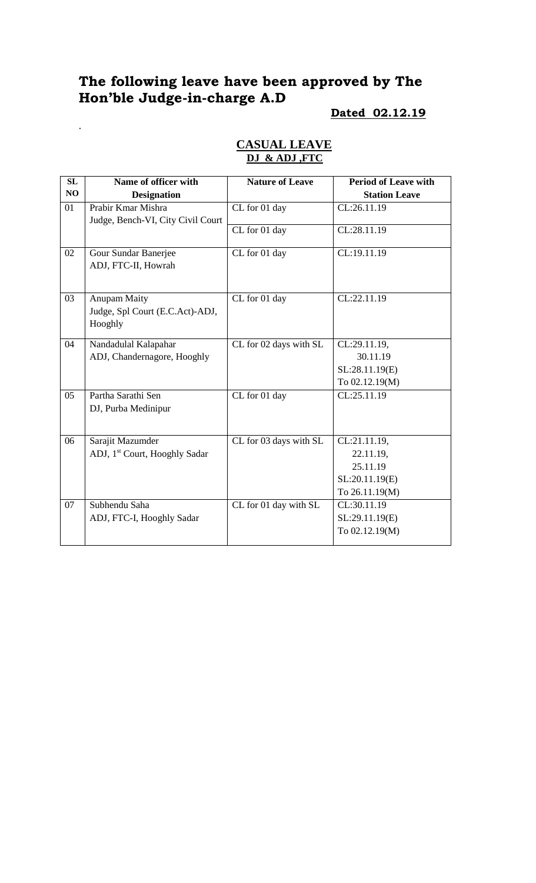.

# **Dated 02.12.19**

| SL             | Name of officer with                      | <b>Nature of Leave</b> | <b>Period of Leave with</b> |
|----------------|-------------------------------------------|------------------------|-----------------------------|
| NO             | <b>Designation</b>                        |                        | <b>Station Leave</b>        |
| 01             | Prabir Kmar Mishra                        | CL for 01 day          | CL:26.11.19                 |
|                | Judge, Bench-VI, City Civil Court         |                        |                             |
|                |                                           | CL for 01 day          | CL:28.11.19                 |
| 02             | Gour Sundar Banerjee                      | CL for 01 day          | CL:19.11.19                 |
|                | ADJ, FTC-II, Howrah                       |                        |                             |
|                |                                           |                        |                             |
| 03             | <b>Anupam Maity</b>                       | CL for 01 day          | CL:22.11.19                 |
|                | Judge, Spl Court (E.C.Act)-ADJ,           |                        |                             |
|                | Hooghly                                   |                        |                             |
| 04             | Nandadulal Kalapahar                      | CL for 02 days with SL | CL:29.11.19,                |
|                | ADJ, Chandernagore, Hooghly               |                        | 30.11.19                    |
|                |                                           |                        | SL:28.11.19(E)              |
|                |                                           |                        | To 02.12.19(M)              |
| 0 <sub>5</sub> | Partha Sarathi Sen                        | CL for 01 day          | CL:25.11.19                 |
|                | DJ, Purba Medinipur                       |                        |                             |
|                |                                           |                        |                             |
| 06             | Sarajit Mazumder                          | CL for 03 days with SL | CL:21.11.19,                |
|                | ADJ, 1 <sup>st</sup> Court, Hooghly Sadar |                        | 22.11.19,                   |
|                |                                           |                        | 25.11.19                    |
|                |                                           |                        | SL:20.11.19(E)              |
|                |                                           |                        | To 26.11.19(M)              |
| 07             | Subhendu Saha                             | CL for 01 day with SL  | CL:30.11.19                 |
|                | ADJ, FTC-I, Hooghly Sadar                 |                        | SL:29.11.19(E)              |
|                |                                           |                        | To 02.12.19(M)              |

## **CASUAL LEAVE DJ & ADJ ,FTC**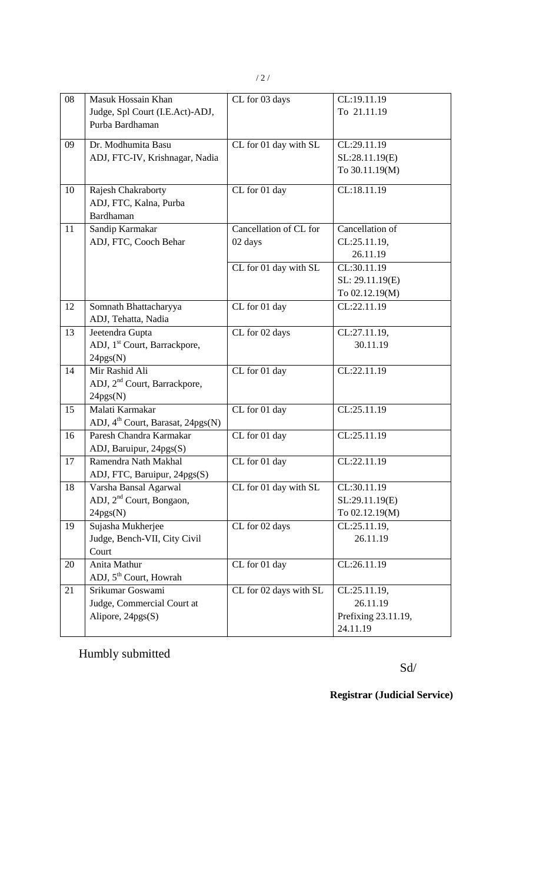| 08 | Masuk Hossain Khan<br>Judge, Spl Court (I.E.Act)-ADJ,<br>Purba Bardhaman  | CL for 03 days                    | CL:19.11.19<br>To 21.11.19                                  |
|----|---------------------------------------------------------------------------|-----------------------------------|-------------------------------------------------------------|
| 09 | Dr. Modhumita Basu<br>ADJ, FTC-IV, Krishnagar, Nadia                      | CL for 01 day with SL             | CL:29.11.19<br>SL:28.11.19(E)<br>To 30.11.19(M)             |
| 10 | Rajesh Chakraborty<br>ADJ, FTC, Kalna, Purba<br><b>Bardhaman</b>          | CL for 01 day                     | CL:18.11.19                                                 |
| 11 | Sandip Karmakar<br>ADJ, FTC, Cooch Behar                                  | Cancellation of CL for<br>02 days | Cancellation of<br>CL:25.11.19,<br>26.11.19                 |
|    |                                                                           | CL for 01 day with SL             | CL:30.11.19<br>SL: 29.11.19(E)<br>To 02.12.19(M)            |
| 12 | Somnath Bhattacharyya<br>ADJ, Tehatta, Nadia                              | $\overline{\text{CL}}$ for 01 day | CL:22.11.19                                                 |
| 13 | Jeetendra Gupta<br>ADJ, 1 <sup>st</sup> Court, Barrackpore,<br>24pgs(N)   | CL for 02 days                    | CL:27.11.19,<br>30.11.19                                    |
| 14 | Mir Rashid Ali<br>ADJ, 2 <sup>nd</sup> Court, Barrackpore,<br>24pgs(N)    | CL for 01 day                     | CL:22.11.19                                                 |
| 15 | Malati Karmakar<br>ADJ, 4 <sup>th</sup> Court, Barasat, 24pgs(N)          | CL for 01 day                     | CL:25.11.19                                                 |
| 16 | Paresh Chandra Karmakar<br>ADJ, Baruipur, 24pgs(S)                        | CL for 01 day                     | CL:25.11.19                                                 |
| 17 | Ramendra Nath Makhal<br>ADJ, FTC, Baruipur, 24pgs(S)                      | CL for 01 day                     | CL:22.11.19                                                 |
| 18 | Varsha Bansal Agarwal<br>ADJ, 2 <sup>nd</sup> Court, Bongaon,<br>24pgs(N) | CL for 01 day with SL             | CL:30.11.19<br>SL:29.11.19(E)<br>To 02.12.19(M)             |
| 19 | Sujasha Mukherjee<br>Judge, Bench-VII, City Civil<br>Court                | CL for 02 days                    | CL:25.11.19,<br>26.11.19                                    |
| 20 | Anita Mathur<br>ADJ, 5 <sup>th</sup> Court, Howrah                        | CL for 01 day                     | CL:26.11.19                                                 |
| 21 | Srikumar Goswami<br>Judge, Commercial Court at<br>Alipore, 24pgs(S)       | CL for 02 days with SL            | CL:25.11.19,<br>26.11.19<br>Prefixing 23.11.19,<br>24.11.19 |

Humbly submitted

Sd/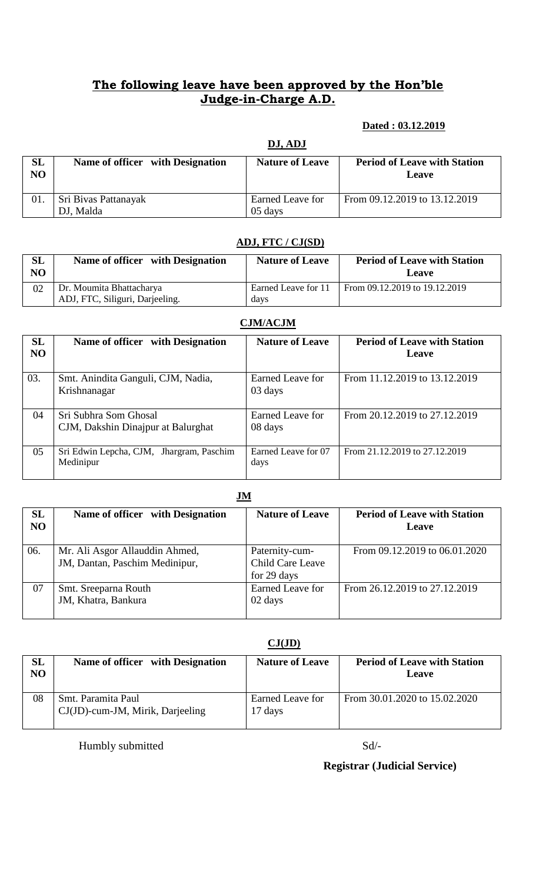### **Dated : 03.12.2019**

|          | DJ, ADJ                           |                             |                                              |
|----------|-----------------------------------|-----------------------------|----------------------------------------------|
| SL<br>NO | Name of officer with Designation  | <b>Nature of Leave</b>      | <b>Period of Leave with Station</b><br>Leave |
| 01.      | Sri Bivas Pattanayak<br>DJ, Malda | Earned Leave for<br>05 days | From 09.12.2019 to 13.12.2019                |

### **ADJ, FTC / CJ(SD)**

| $\operatorname{\mathbf{SL}}\nolimits$<br>NO | Name of officer with Designation | <b>Nature of Leave</b> | <b>Period of Leave with Station</b><br>Leave |
|---------------------------------------------|----------------------------------|------------------------|----------------------------------------------|
| 02                                          | Dr. Moumita Bhattacharya         | Earned Leave for 11    | From 09.12.2019 to 19.12.2019                |
|                                             | ADJ, FTC, Siliguri, Darjeeling.  | davs                   |                                              |

#### **CJM/ACJM**

| <b>SL</b><br>N <sub>O</sub> | Name of officer with Designation                            | <b>Nature of Leave</b>      | <b>Period of Leave with Station</b><br>Leave |
|-----------------------------|-------------------------------------------------------------|-----------------------------|----------------------------------------------|
| 03.                         | Smt. Anindita Ganguli, CJM, Nadia,<br>Krishnanagar          | Earned Leave for<br>03 days | From 11.12.2019 to 13.12.2019                |
| 04                          | Sri Subhra Som Ghosal<br>CJM, Dakshin Dinajpur at Balurghat | Earned Leave for<br>08 days | From 20.12.2019 to 27.12.2019                |
| 05                          | Sri Edwin Lepcha, CJM, Jhargram, Paschim<br>Medinipur       | Earned Leave for 07<br>days | From 21.12.2019 to 27.12.2019                |

#### **JM**

| SL<br>N <sub>O</sub> | Name of officer with Designation                                 | <b>Nature of Leave</b>                            | <b>Period of Leave with Station</b><br>Leave |
|----------------------|------------------------------------------------------------------|---------------------------------------------------|----------------------------------------------|
| 06.                  | Mr. Ali Asgor Allauddin Ahmed,<br>JM, Dantan, Paschim Medinipur, | Paternity-cum-<br>Child Care Leave<br>for 29 days | From 09.12.2019 to 06.01.2020                |
| 07                   | Smt. Sreeparna Routh<br>JM, Khatra, Bankura                      | Earned Leave for<br>02 days                       | From 26.12.2019 to 27.12.2019                |

## **CJ(JD)**

| SL<br>NO | Name of officer with Designation                          | <b>Nature of Leave</b>      | <b>Period of Leave with Station</b><br>Leave |
|----------|-----------------------------------------------------------|-----------------------------|----------------------------------------------|
| 08       | Smt. Paramita Paul<br>$CJ(JD)$ -cum-JM, Mirik, Darjeeling | Earned Leave for<br>17 days | From 30.01.2020 to 15.02.2020                |

Humbly submitted Sd/-